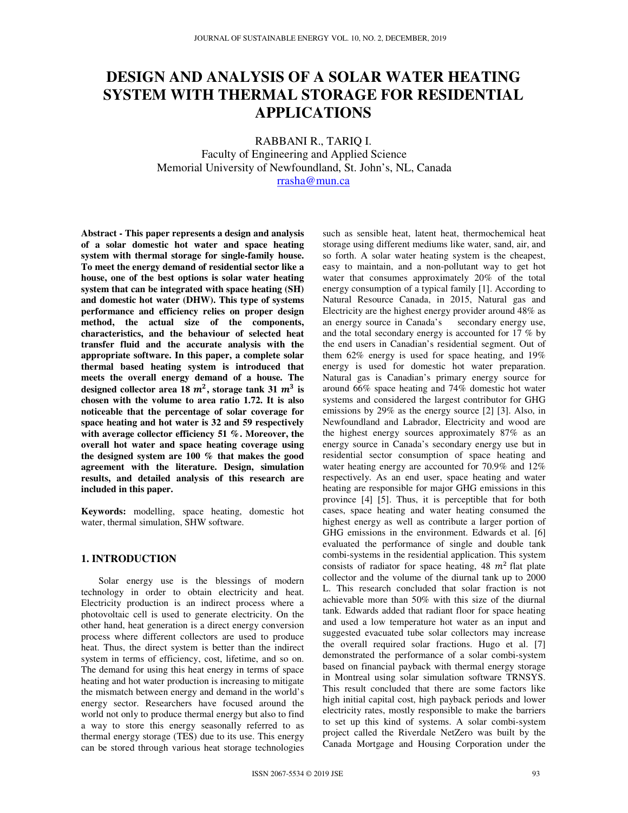# **DESIGN AND ANALYSIS OF A SOLAR WATER HEATING SYSTEM WITH THERMAL STORAGE FOR RESIDENTIAL APPLICATIONS**

RABBANI R., TARIQ I.

Faculty of Engineering and Applied Science Memorial University of Newfoundland, St. John's, NL, Canada rrasha@mun.ca

**Abstract - This paper represents a design and analysis of a solar domestic hot water and space heating system with thermal storage for single-family house. To meet the energy demand of residential sector like a house, one of the best options is solar water heating system that can be integrated with space heating (SH) and domestic hot water (DHW). This type of systems performance and efficiency relies on proper design method, the actual size of the components, characteristics, and the behaviour of selected heat transfer fluid and the accurate analysis with the appropriate software. In this paper, a complete solar thermal based heating system is introduced that meets the overall energy demand of a house. The**  designed collector area 18  $m^2$ , storage tank 31  $m^3$  is **chosen with the volume to area ratio 1.72. It is also noticeable that the percentage of solar coverage for space heating and hot water is 32 and 59 respectively with average collector efficiency 51 %. Moreover, the overall hot water and space heating coverage using the designed system are 100 % that makes the good agreement with the literature. Design, simulation results, and detailed analysis of this research are included in this paper.** 

**Keywords:** modelling, space heating, domestic hot water, thermal simulation, SHW software.

### **1. INTRODUCTION**

Solar energy use is the blessings of modern technology in order to obtain electricity and heat. Electricity production is an indirect process where a photovoltaic cell is used to generate electricity. On the other hand, heat generation is a direct energy conversion process where different collectors are used to produce heat. Thus, the direct system is better than the indirect system in terms of efficiency, cost, lifetime, and so on. The demand for using this heat energy in terms of space heating and hot water production is increasing to mitigate the mismatch between energy and demand in the world's energy sector. Researchers have focused around the world not only to produce thermal energy but also to find a way to store this energy seasonally referred to as thermal energy storage (TES) due to its use. This energy can be stored through various heat storage technologies

such as sensible heat, latent heat, thermochemical heat storage using different mediums like water, sand, air, and so forth. A solar water heating system is the cheapest, easy to maintain, and a non-pollutant way to get hot water that consumes approximately 20% of the total energy consumption of a typical family [1]. According to Natural Resource Canada, in 2015, Natural gas and Electricity are the highest energy provider around 48% as an energy source in Canada's secondary energy use, and the total secondary energy is accounted for 17 % by the end users in Canadian's residential segment. Out of them 62% energy is used for space heating, and 19% energy is used for domestic hot water preparation. Natural gas is Canadian's primary energy source for around 66% space heating and 74% domestic hot water systems and considered the largest contributor for GHG emissions by 29% as the energy source [2] [3]. Also, in Newfoundland and Labrador, Electricity and wood are the highest energy sources approximately 87% as an energy source in Canada's secondary energy use but in residential sector consumption of space heating and water heating energy are accounted for 70.9% and 12% respectively. As an end user, space heating and water heating are responsible for major GHG emissions in this province [4] [5]. Thus, it is perceptible that for both cases, space heating and water heating consumed the highest energy as well as contribute a larger portion of GHG emissions in the environment. Edwards et al. [6] evaluated the performance of single and double tank combi-systems in the residential application. This system consists of radiator for space heating,  $48 \, m^2$  flat plate collector and the volume of the diurnal tank up to 2000 L. This research concluded that solar fraction is not achievable more than 50% with this size of the diurnal tank. Edwards added that radiant floor for space heating and used a low temperature hot water as an input and suggested evacuated tube solar collectors may increase the overall required solar fractions. Hugo et al. [7] demonstrated the performance of a solar combi-system based on financial payback with thermal energy storage in Montreal using solar simulation software TRNSYS. This result concluded that there are some factors like high initial capital cost, high payback periods and lower electricity rates, mostly responsible to make the barriers to set up this kind of systems. A solar combi-system project called the Riverdale NetZero was built by the Canada Mortgage and Housing Corporation under the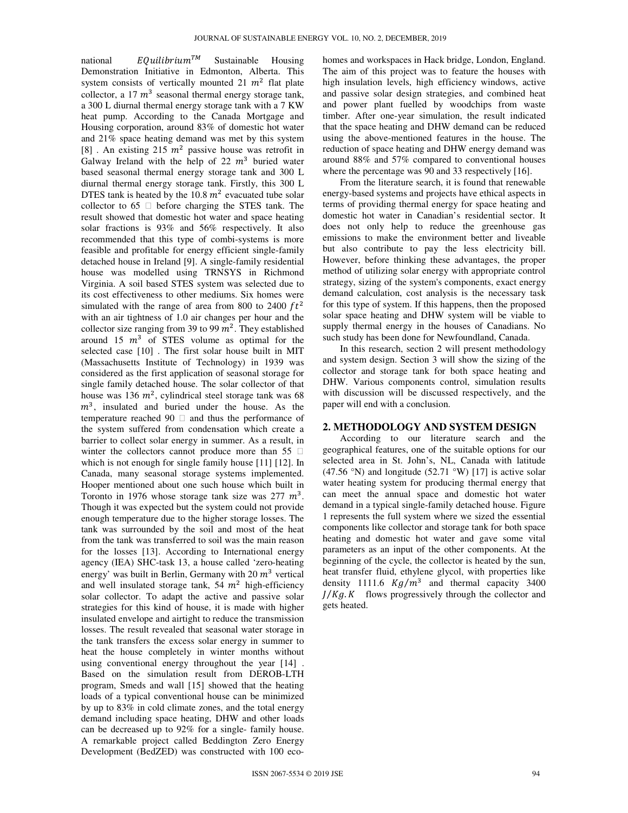national libri Sustainable Housing Demonstration Initiative in Edmonton, Alberta. This system consists of vertically mounted 21  $m^2$  flat plate collector, a 17  $m^3$  seasonal thermal energy storage tank, a 300 L diurnal thermal energy storage tank with a 7 KW heat pump. According to the Canada Mortgage and Housing corporation, around 83% of domestic hot water and 21% space heating demand was met by this system [8] . An existing 215  $m^2$  passive house was retrofit in Galway Ireland with the help of 22  $m^3$  buried water based seasonal thermal energy storage tank and 300 L diurnal thermal energy storage tank. Firstly, this 300 L DTES tank is heated by the 10.8  $m^2$  evacuated tube solar collector to 65  $\Box$  before charging the STES tank. The result showed that domestic hot water and space heating solar fractions is 93% and 56% respectively. It also recommended that this type of combi-systems is more feasible and profitable for energy efficient single-family detached house in Ireland [9]. A single-family residential house was modelled using TRNSYS in Richmond Virginia. A soil based STES system was selected due to its cost effectiveness to other mediums. Six homes were simulated with the range of area from 800 to 2400  $ft^2$ with an air tightness of 1.0 air changes per hour and the collector size ranging from 39 to 99  $m^2$ . They established around 15  $m<sup>3</sup>$  of STES volume as optimal for the selected case [10] . The first solar house built in MIT (Massachusetts Institute of Technology) in 1939 was considered as the first application of seasonal storage for single family detached house. The solar collector of that house was 136  $m^2$ , cylindrical steel storage tank was 68  $m<sup>3</sup>$ , insulated and buried under the house. As the temperature reached 90  $\Box$  and thus the performance of the system suffered from condensation which create a barrier to collect solar energy in summer. As a result, in winter the collectors cannot produce more than 55  $\Box$ which is not enough for single family house [11] [12]. In Canada, many seasonal storage systems implemented. Hooper mentioned about one such house which built in Toronto in 1976 whose storage tank size was  $277 \, m^3$ . Though it was expected but the system could not provide enough temperature due to the higher storage losses. The tank was surrounded by the soil and most of the heat from the tank was transferred to soil was the main reason for the losses [13]. According to International energy agency (IEA) SHC-task 13, a house called 'zero-heating energy' was built in Berlin, Germany with 20  $m^3$  vertical and well insulated storage tank,  $54 \, m^2$  high-efficiency solar collector. To adapt the active and passive solar strategies for this kind of house, it is made with higher insulated envelope and airtight to reduce the transmission losses. The result revealed that seasonal water storage in the tank transfers the excess solar energy in summer to heat the house completely in winter months without using conventional energy throughout the year [14] . Based on the simulation result from DEROB-LTH program, Smeds and wall [15] showed that the heating loads of a typical conventional house can be minimized by up to 83% in cold climate zones, and the total energy demand including space heating, DHW and other loads can be decreased up to 92% for a single- family house. A remarkable project called Beddington Zero Energy Development (BedZED) was constructed with 100 ecohomes and workspaces in Hack bridge, London, England. The aim of this project was to feature the houses with high insulation levels, high efficiency windows, active and passive solar design strategies, and combined heat and power plant fuelled by woodchips from waste timber. After one-year simulation, the result indicated that the space heating and DHW demand can be reduced using the above-mentioned features in the house. The reduction of space heating and DHW energy demand was around 88% and 57% compared to conventional houses where the percentage was 90 and 33 respectively [16].

From the literature search, it is found that renewable energy-based systems and projects have ethical aspects in terms of providing thermal energy for space heating and domestic hot water in Canadian's residential sector. It does not only help to reduce the greenhouse gas emissions to make the environment better and liveable but also contribute to pay the less electricity bill. However, before thinking these advantages, the proper method of utilizing solar energy with appropriate control strategy, sizing of the system's components, exact energy demand calculation, cost analysis is the necessary task for this type of system. If this happens, then the proposed solar space heating and DHW system will be viable to supply thermal energy in the houses of Canadians. No such study has been done for Newfoundland, Canada.

In this research, section 2 will present methodology and system design. Section 3 will show the sizing of the collector and storage tank for both space heating and DHW. Various components control, simulation results with discussion will be discussed respectively, and the paper will end with a conclusion.

#### **2. METHODOLOGY AND SYSTEM DESIGN**

According to our literature search and the geographical features, one of the suitable options for our selected area in St. John's, NL, Canada with latitude (47.56 °N) and longitude (52.71 °W) [17] is active solar water heating system for producing thermal energy that can meet the annual space and domestic hot water demand in a typical single-family detached house. Figure 1 represents the full system where we sized the essential components like collector and storage tank for both space heating and domestic hot water and gave some vital parameters as an input of the other components. At the beginning of the cycle, the collector is heated by the sun, heat transfer fluid, ethylene glycol, with properties like density 1111.6  $Kg/m^3$  and thermal capacity 3400  *flows progressively through the collector and* gets heated.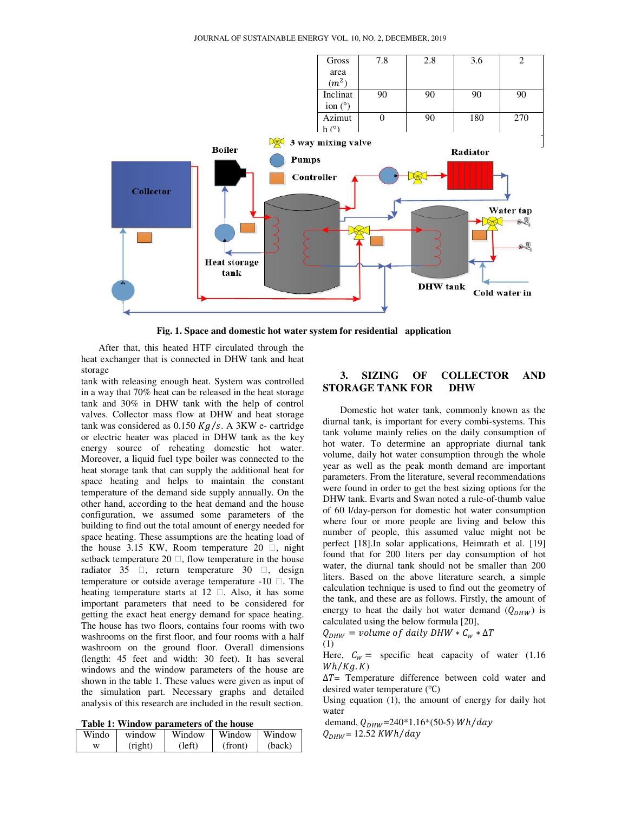

**Fig. 1. Space and domestic hot water system for residential application**

After that, this heated HTF circulated through the heat exchanger that is connected in DHW tank and heat storage

tank with releasing enough heat. System was controlled in a way that 70% heat can be released in the heat storage tank and 30% in DHW tank with the help of control valves. Collector mass flow at DHW and heat storage tank was considered as  $0.150$  Kg/s. A 3KW e- cartridge or electric heater was placed in DHW tank as the key energy source of reheating domestic hot water. Moreover, a liquid fuel type boiler was connected to the heat storage tank that can supply the additional heat for space heating and helps to maintain the constant temperature of the demand side supply annually. On the other hand, according to the heat demand and the house configuration, we assumed some parameters of the building to find out the total amount of energy needed for space heating. These assumptions are the heating load of the house 3.15 KW, Room temperature 20  $\Box$ , night setback temperature 20  $\Box$ , flow temperature in the house radiator 35  $\Box$ , return temperature 30  $\Box$ , design temperature or outside average temperature  $-10$   $\Box$ . The heating temperature starts at  $12 \Box$ . Also, it has some important parameters that need to be considered for getting the exact heat energy demand for space heating. The house has two floors, contains four rooms with two washrooms on the first floor, and four rooms with a half washroom on the ground floor. Overall dimensions (length: 45 feet and width: 30 feet). It has several windows and the window parameters of the house are shown in the table 1. These values were given as input of the simulation part. Necessary graphs and detailed analysis of this research are included in the result section.

**Table 1: Window parameters of the house** 

| Windo | window  | Window | Window  | Window |
|-------|---------|--------|---------|--------|
| w     | (right) | left)  | (front) | (back) |

# **3. SIZING OF COLLECTOR AND STORAGE TANK FOR DHW**

Domestic hot water tank, commonly known as the diurnal tank, is important for every combi-systems. This tank volume mainly relies on the daily consumption of hot water. To determine an appropriate diurnal tank volume, daily hot water consumption through the whole year as well as the peak month demand are important parameters. From the literature, several recommendations were found in order to get the best sizing options for the DHW tank. Evarts and Swan noted a rule-of-thumb value of 60 l/day-person for domestic hot water consumption where four or more people are living and below this number of people, this assumed value might not be perfect [18].In solar applications, Heimrath et al. [19] found that for 200 liters per day consumption of hot water, the diurnal tank should not be smaller than 200 liters. Based on the above literature search, a simple calculation technique is used to find out the geometry of the tank, and these are as follows. Firstly, the amount of energy to heat the daily hot water demand  $(Q_{DHW})$  is calculated using the below formula [20],

 $Q_{DHW}$  = volume of daily DHW  $*C_w * \Delta T$ (1)

Here,  $C_w =$  specific heat capacity of water (1.16)  $Wh/Kg. K)$ 

 $\Delta T$ = Temperature difference between cold water and desired water temperature  $(^{\circ}C)$ 

Using equation (1), the amount of energy for daily hot water

demand,  $Q_{DHW}$ =240\*1.16\*(50-5) Wh/day  $Q_{DHW}$ = 12.52 KWh/day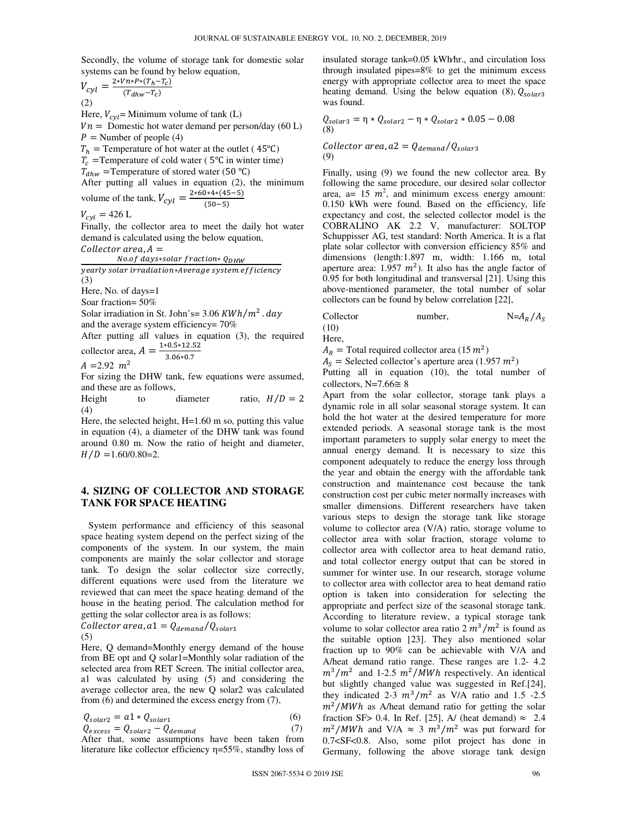Secondly, the volume of storage tank for domestic solar systems can be found by below equation,

$$
V_{cyl} = \frac{2*Vn*P*(T_h - T_c)}{(T_{dhw} - T_c)}
$$
  
(2)

Here,  $V_{cvl}$ = Minimum volume of tank (L)  $Vn =$  Domestic hot water demand per person/day (60 L)  $P =$  Number of people (4)

 $T_h$  = Temperature of hot water at the outlet (45<sup>o</sup>C)

 $T_c$  = Temperature of cold water (5<sup>o</sup>C in winter time)

 $T_{dhw}$  = Temperature of stored water (50 °C)

After putting all values in equation (2), the minimum volume of the tank,  $V_{cyl} = \frac{2 * 60 * 4 * (45 - 5)}{(50 - 5)}$ 

volume of the tank, 
$$
v_{cyl} = (50-5)
$$
  
 $V_{cyl} = 426$  L

Finally, the collector area to meet the daily hot water demand is calculated using the below equation,

 $Collector area, A =$ 

No.of days\*solar fraction\* Q<sub>DHW</sub> yearly solar irradiation\*Average system efficiency (3) Here, No. of days=1

Soar fraction= 50%

Solar irradiation in St. John's=  $3.06$  KWh/m<sup>2</sup> . day and the average system efficiency= 70%

After putting all values in equation (3), the required collector area,  $A = \frac{1*0.5*12.52}{.}$ 

$$
3.06*0.7
$$

 $A = 2.92$   $m<sup>2</sup>$ 

For sizing the DHW tank, few equations were assumed, and these are as follows,

Height to diameter ratio,  $H/D = 2$  $(4)$ 

Here, the selected height, H=1.60 m so, putting this value in equation (4), a diameter of the DHW tank was found around 0.80 m. Now the ratio of height and diameter,  $H/D = 1.60/0.80=2.$ 

## **4. SIZING OF COLLECTOR AND STORAGE TANK FOR SPACE HEATING**

 System performance and efficiency of this seasonal space heating system depend on the perfect sizing of the components of the system. In our system, the main components are mainly the solar collector and storage tank. To design the solar collector size correctly, different equations were used from the literature we reviewed that can meet the space heating demand of the house in the heating period. The calculation method for getting the solar collector area is as follows:

Collector area,  $a1 = Q_{demand}/Q_{solar1}$ (5)

Here, Q demand=Monthly energy demand of the house from BE opt and Q solar1=Monthly solar radiation of the selected area from RET Screen. The initial collector area, a1 was calculated by using (5) and considering the average collector area, the new Q solar2 was calculated from (6) and determined the excess energy from (7),

$$
Q_{solar2} = a1 \cdot Q_{solar1} \tag{6}
$$

$$
Q_{excess} = Q_{solar2} - Q_{demand}
$$
 (7)  
After that, some assumptions have been taken from

literature like collector efficiency η=55%, standby loss of

insulated storage tank=0.05 kWh⁄hr., and circulation loss through insulated pipes=8% to get the minimum excess energy with appropriate collector area to meet the space heating demand. Using the below equation (8),  $Q_{solar3}$ was found.

$$
Q_{solar3} = \eta * Q_{solar2} - \eta * Q_{solar2} * 0.05 - 0.08
$$
  
(8)

Collector area, 
$$
a2 = Q_{demand}/Q_{solar3}
$$
  
(9)

Finally, using (9) we found the new collector area. By following the same procedure, our desired solar collector area,  $a = 15$   $m^2$ , and minimum excess energy amount: 0.150 kWh were found. Based on the efficiency, life expectancy and cost, the selected collector model is the COBRALINO AK 2.2 V, manufacturer: SOLTOP Schuppisser AG, test standard: North America. It is a flat plate solar collector with conversion efficiency 85% and dimensions (length:1.897 m, width: 1.166 m, total aperture area:  $1.957 \, m^2$ ). It also has the angle factor of 0.95 for both longitudinal and transversal [21]. Using this above-mentioned parameter, the total number of solar collectors can be found by below correlation [22],

Collector number,

\n
$$
N = A_R / A_S
$$
\n(10)

Here,

i,

 $A_R$  = Total required collector area (15  $m^2$ )

 $A_s$  = Selected collector's aperture area (1.957  $m^2$ )

Putting all in equation (10), the total number of collectors, N=7.66 $\cong$  8

Apart from the solar collector, storage tank plays a dynamic role in all solar seasonal storage system. It can hold the hot water at the desired temperature for more extended periods. A seasonal storage tank is the most important parameters to supply solar energy to meet the annual energy demand. It is necessary to size this component adequately to reduce the energy loss through the year and obtain the energy with the affordable tank construction and maintenance cost because the tank construction cost per cubic meter normally increases with smaller dimensions. Different researchers have taken various steps to design the storage tank like storage volume to collector area (V/A) ratio, storage volume to collector area with solar fraction, storage volume to collector area with collector area to heat demand ratio, and total collector energy output that can be stored in summer for winter use. In our research, storage volume to collector area with collector area to heat demand ratio option is taken into consideration for selecting the appropriate and perfect size of the seasonal storage tank. According to literature review, a typical storage tank volume to solar collector area ratio  $2 m^3/m^2$  is found as the suitable option [23]. They also mentioned solar fraction up to 90% can be achievable with V/A and A/heat demand ratio range. These ranges are 1.2- 4.2  $m^3/m^2$  and 1-2.5  $m^2/MWh$  respectively. An identical but slightly changed value was suggested in Ref.[24], they indicated 2-3  $m^3/m^2$  as V/A ratio and 1.5 -2.5  $m^2/MWh$  as A/heat demand ratio for getting the solar fraction SF> 0.4. In Ref. [25], A/ (heat demand)  $\approx$  2.4  $m^2/MWh$  and V/A  $\approx$  3  $m^3/m^2$  was put forward for 0.7<SF<0.8. Also, some pilot project has done in Germany, following the above storage tank design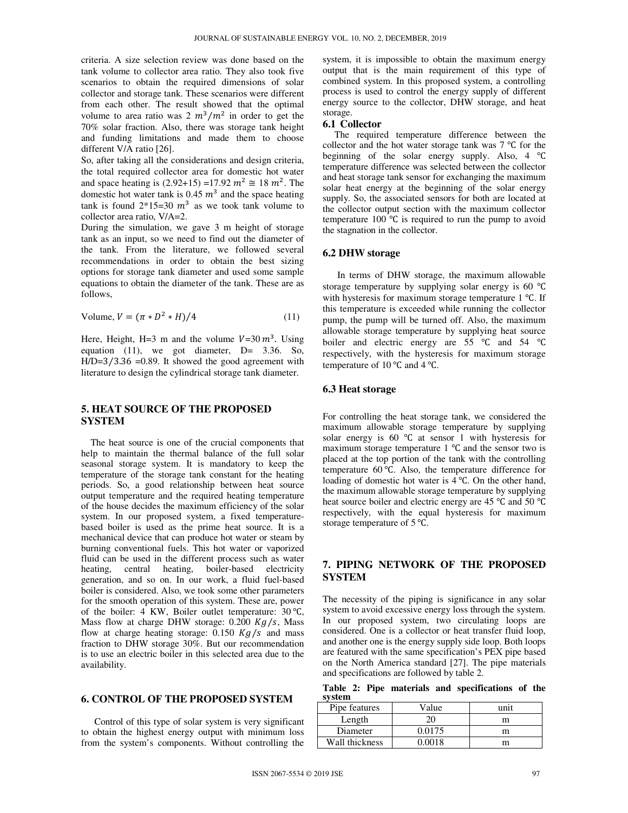criteria. A size selection review was done based on the tank volume to collector area ratio. They also took five scenarios to obtain the required dimensions of solar collector and storage tank. These scenarios were different from each other. The result showed that the optimal volume to area ratio was  $2 m^3/m^2$  in order to get the 70% solar fraction. Also, there was storage tank height and funding limitations and made them to choose different V/A ratio [26].

So, after taking all the considerations and design criteria, the total required collector area for domestic hot water and space heating is  $(2.92+15) = 17.92 \text{ m}^2 \approx 18 \text{ m}^2$ . The domestic hot water tank is 0.45  $m<sup>3</sup>$  and the space heating tank is found  $2*15=30$   $m^3$  as we took tank volume to collector area ratio, V/A=2.

During the simulation, we gave 3 m height of storage tank as an input, so we need to find out the diameter of the tank. From the literature, we followed several recommendations in order to obtain the best sizing options for storage tank diameter and used some sample equations to obtain the diameter of the tank. These are as follows,

Volume, 
$$
V = (\pi * D^2 * H)/4
$$
 (11)

Here, Height, H=3 m and the volume  $V=30 \, m^3$ . Using equation (11), we got diameter, D= 3.36. So,  $H/D=3/3.36 = 0.89$ . It showed the good agreement with literature to design the cylindrical storage tank diameter.

## **5. HEAT SOURCE OF THE PROPOSED SYSTEM**

 The heat source is one of the crucial components that help to maintain the thermal balance of the full solar seasonal storage system. It is mandatory to keep the temperature of the storage tank constant for the heating periods. So, a good relationship between heat source output temperature and the required heating temperature of the house decides the maximum efficiency of the solar system. In our proposed system, a fixed temperaturebased boiler is used as the prime heat source. It is a mechanical device that can produce hot water or steam by burning conventional fuels. This hot water or vaporized fluid can be used in the different process such as water heating, central heating, boiler-based electricity generation, and so on. In our work, a fluid fuel-based boiler is considered. Also, we took some other parameters for the smooth operation of this system. These are, power of the boiler: 4 KW, Boiler outlet temperature:  $30^{\circ}$ C, Mass flow at charge DHW storage:  $0.200$  Kg/s, Mass flow at charge heating storage:  $0.150$  Kg/s and mass fraction to DHW storage 30%. But our recommendation is to use an electric boiler in this selected area due to the availability.

#### **6. CONTROL OF THE PROPOSED SYSTEM**

Control of this type of solar system is very significant to obtain the highest energy output with minimum loss from the system's components. Without controlling the

system, it is impossible to obtain the maximum energy output that is the main requirement of this type of combined system. In this proposed system, a controlling process is used to control the energy supply of different energy source to the collector, DHW storage, and heat storage.

#### **6.1 Collector**

 The required temperature difference between the collector and the hot water storage tank was  $7^{\circ}$ C for the beginning of the solar energy supply. Also,  $4 \text{ }^{\circ}C$ temperature difference was selected between the collector and heat storage tank sensor for exchanging the maximum solar heat energy at the beginning of the solar energy supply. So, the associated sensors for both are located at the collector output section with the maximum collector temperature 100 $\degree$ C is required to run the pump to avoid the stagnation in the collector.

#### **6.2 DHW storage**

 In terms of DHW storage, the maximum allowable storage temperature by supplying solar energy is  $60 °C$ with hysteresis for maximum storage temperature  $1 \text{ }^{\circ}C$ . If this temperature is exceeded while running the collector pump, the pump will be turned off. Also, the maximum allowable storage temperature by supplying heat source boiler and electric energy are  $55 \text{ °C}$  and  $54 \text{ °C}$ respectively, with the hysteresis for maximum storage temperature of 10  $^{\circ}$ C and 4  $^{\circ}$ C.

#### **6.3 Heat storage**

For controlling the heat storage tank, we considered the maximum allowable storage temperature by supplying solar energy is  $60^\circ\text{C}$  at sensor 1 with hysteresis for maximum storage temperature  $1 \text{ }^{\circ}$ C and the sensor two is placed at the top portion of the tank with the controlling temperature  $60^{\circ}$ C. Also, the temperature difference for loading of domestic hot water is  $4^{\circ}$ C. On the other hand, the maximum allowable storage temperature by supplying heat source boiler and electric energy are  $45^{\circ}$ C and  $50^{\circ}$ C respectively, with the equal hysteresis for maximum storage temperature of  $5^{\circ}$ C.

# **7. PIPING NETWORK OF THE PROPOSED SYSTEM**

The necessity of the piping is significance in any solar system to avoid excessive energy loss through the system. In our proposed system, two circulating loops are considered. One is a collector or heat transfer fluid loop, and another one is the energy supply side loop. Both loops are featured with the same specification's PEX pipe based on the North America standard [27]. The pipe materials and specifications are followed by table 2.

**Table 2: Pipe materials and specifications of the system** 

| Pipe features  | Value  | unit |
|----------------|--------|------|
| Length         |        | m    |
| Diameter       | 0.0175 | m    |
| Wall thickness | ) 0018 | m    |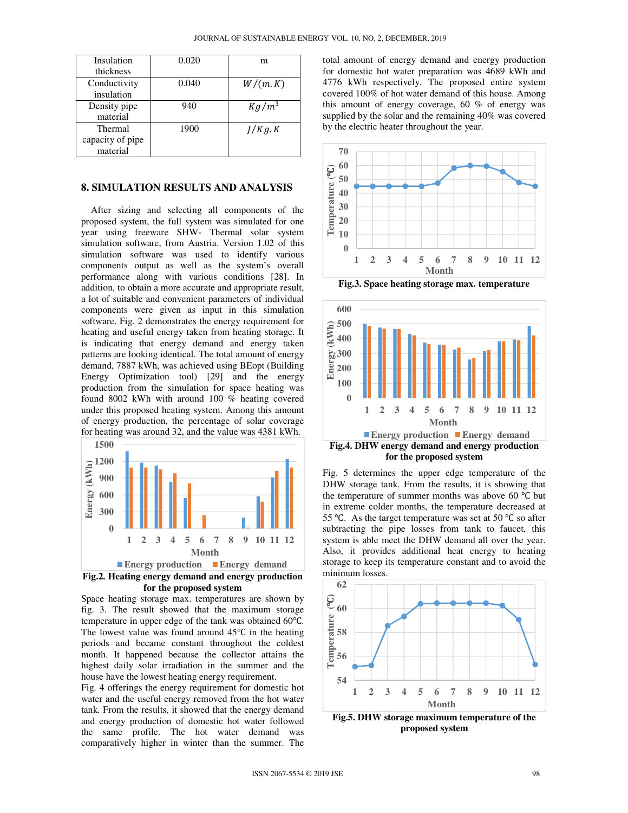| Insulation<br>thickness                 | 0.020 | m        |
|-----------------------------------------|-------|----------|
| Conductivity<br>insulation              | 0.040 | W/(m.K)  |
| Density pipe<br>material                | 940   | $Kg/m^3$ |
| Thermal<br>capacity of pipe<br>material | 1900  | I/Kg.K   |

#### **8. SIMULATION RESULTS AND ANALYSIS**

 After sizing and selecting all components of the proposed system, the full system was simulated for one year using freeware SHW- Thermal solar system simulation software, from Austria. Version 1.02 of this simulation software was used to identify various components output as well as the system's overall performance along with various conditions [28]. In addition, to obtain a more accurate and appropriate result, a lot of suitable and convenient parameters of individual components were given as input in this simulation software. Fig. 2 demonstrates the energy requirement for heating and useful energy taken from heating storage. It is indicating that energy demand and energy taken patterns are looking identical. The total amount of energy demand, 7887 kWh, was achieved using BEopt (Building Energy Optimization tool) [29] and the energy production from the simulation for space heating was found 8002 kWh with around 100 % heating covered under this proposed heating system. Among this amount of energy production, the percentage of solar coverage for heating was around 32, and the value was 4381 kWh.



**Fig.2. Heating energy demand and energy production for the proposed system** 

Space heating storage max. temperatures are shown by fig. 3. The result showed that the maximum storage temperature in upper edge of the tank was obtained  $60^{\circ}$ C. The lowest value was found around  $45^{\circ}$ C in the heating periods and became constant throughout the coldest month. It happened because the collector attains the highest daily solar irradiation in the summer and the house have the lowest heating energy requirement.

Fig. 4 offerings the energy requirement for domestic hot water and the useful energy removed from the hot water tank. From the results, it showed that the energy demand and energy production of domestic hot water followed the same profile. The hot water demand was comparatively higher in winter than the summer. The total amount of energy demand and energy production for domestic hot water preparation was 4689 kWh and 4776 kWh respectively. The proposed entire system covered 100% of hot water demand of this house. Among this amount of energy coverage, 60 % of energy was supplied by the solar and the remaining 40% was covered by the electric heater throughout the year.



**Fig.3. Space heating storage max. temperature** 



Fig. 5 determines the upper edge temperature of the DHW storage tank. From the results, it is showing that the temperature of summer months was above 60  $\degree$ C but in extreme colder months, the temperature decreased at 55 °C. As the target temperature was set at 50 °C so after subtracting the pipe losses from tank to faucet, this system is able meet the DHW demand all over the year. Also, it provides additional heat energy to heating storage to keep its temperature constant and to avoid the minimum losses.



**proposed system**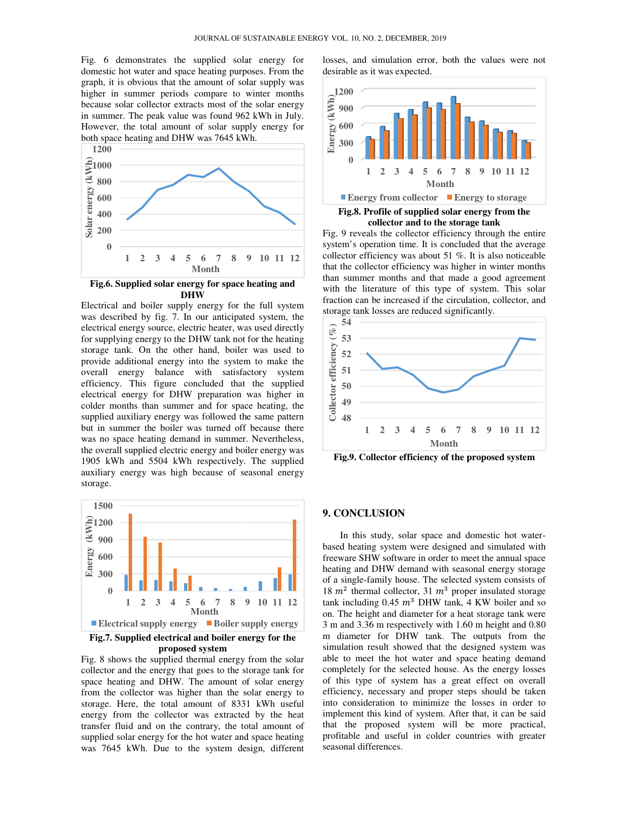Fig. 6 demonstrates the supplied solar energy for Fig. 6 demonstrates the supplied solar energy for domestic hot water and space heating purposes. From the graph, it is obvious that the amount of solar supply was higher in summer periods compare to winter months because solar collector extracts most of the solar energy in summer. The peak value was found 962 kWh in July. However, the total amount of solar supply energy for both space heating and DHW was 7645 kWh. cause solar collector extracts most of the solar energy<br>summer. The peak value was found 962 kWh in July.<br>wever, the total amount of solar supply energy for<br>th space heating and DHW was 7645 kWh.



Fig.6. Supplied solar energy for space heating and **DHW**

Electrical and boiler supply energy for the full system was described by fig. 7. In our anticipated system, the electrical energy source, electric heater, was used directly for supplying energy to the DHW tank not for the heating storage tank. On the other hand, boiler was used to provide additional energy into the system to make the overall energy balance with satisfactory system efficiency. This figure concluded that the supplied electrical energy for DHW preparation was higher in colder months than summer and for space heating, the supplied auxiliary energy was followed the same pattern but in summer the boiler was turned off because there was no space heating demand in summer. Nevertheless, the overall supplied electric energy and boiler energy was 1905 kWh and 5504 kWh respectively. The supplied auxiliary energy was high because of seasonal energy storage. rical and boiler supply energy for the full system<br>described by fig. 7. In our anticipated system, the<br>rical energy source, electric heater, was used directly<br>ppplying energy to the DHW tank not for the heating<br>ge tank. On heating demand in summer. Never<br>supplied electric energy and boiler ener<br>and 5504 kWh respectively. The s<br>nergy was high because of seasonal **Books Example 18**<br> **Example 18**<br> **Example 18**<br> **Example 18**<br> **Example 18**<br> **Example 19**<br> **Example 10**<br> **Example 10**<br> **Example 10**<br> **Example 11**<br> **Example 18**<br> **Example 18**<br> **Example 18**<br> **Example 18**<br> **Example 18**<br> **Exa** 



**proposed system** 

Fig. 8 shows the supplied thermal energy from the solar collector and the energy that goes to the storage tank for space heating and DHW. The amount of solar energy Fig. 8 shows the supplied thermal energy from the solar collector and the energy that goes to the storage tank for space heating and DHW. The amount of solar energy from the collector was higher than the solar energy to storage. Here, the total amount of 8331 kWh useful<br>energy from the collector was extracted by the heat energy from the collector was extracted by the heat transfer fluid and on the contrary, the total amount of supplied solar energy for the hot water and space heating was 7645 kWh. Due to the system design, different

desirable as it was expected.



Fig.8. Profile of supplied solar energy from the **collector and to the storage tank**

Fig. 9 reveals the collector efficiency through the entire system's operation time. It is concluded that the average collector efficiency was about 51 %. It is also noticeable that the collector efficiency was higher in winter months than summer months and that made a good agreement with the literature of this type of system. This solar fraction can be increased if the circulation, collector, and storage tank losses are reduced significantly. operation time. It is concluded that the average efficiency was about 51 %. It is also noticeable collector efficiency was higher in winter months numer months and that made a good agreement be iterature of this type of sy



**Fig.9. Collector efficiency of the proposed system Fig.9. Collector** 

# **9. CONCLUSION**

supplied solar energy for space, and simulation error, both the values were not<br>contain gappears. From the distribute and simulation error, both the values were not<br>not all the value of the simulation error of the value a In this study, solar space and domestic hot waterbased heating system were designed and simulated with freeware SHW software in order to meet the annual space heating and DHW demand with seasonal energy storage of a single-family house. The selected system consists of 18  $m^2$  thermal collector, 31  $m^3$  proper insulated storage tank including  $0.45 \, m^3$  DHW tank, 4 KW boiler and so on. The height and diameter for a heat storage tank were 3 m and 3.36 m respectively with 1.60 m height and 0.80 m diameter for DHW tank. The outputs from the simulation result showed that the designed system was able to meet the hot water and space heating demand completely for the selected house. As the energy losses of this type of system has a great effect on overall efficiency, necessary and proper steps should be taken into consideration to minimize the losses in order to implement this kind of system. After that, it can be said that the proposed system will be more practical, profitable and useful in colder countries wi seasonal differences. based heating system were designed and simulated with freeware SHW software in order to meet the annual space heating and DHW demand with seasonal energy storage of a single-family house. The selected system consists of 1